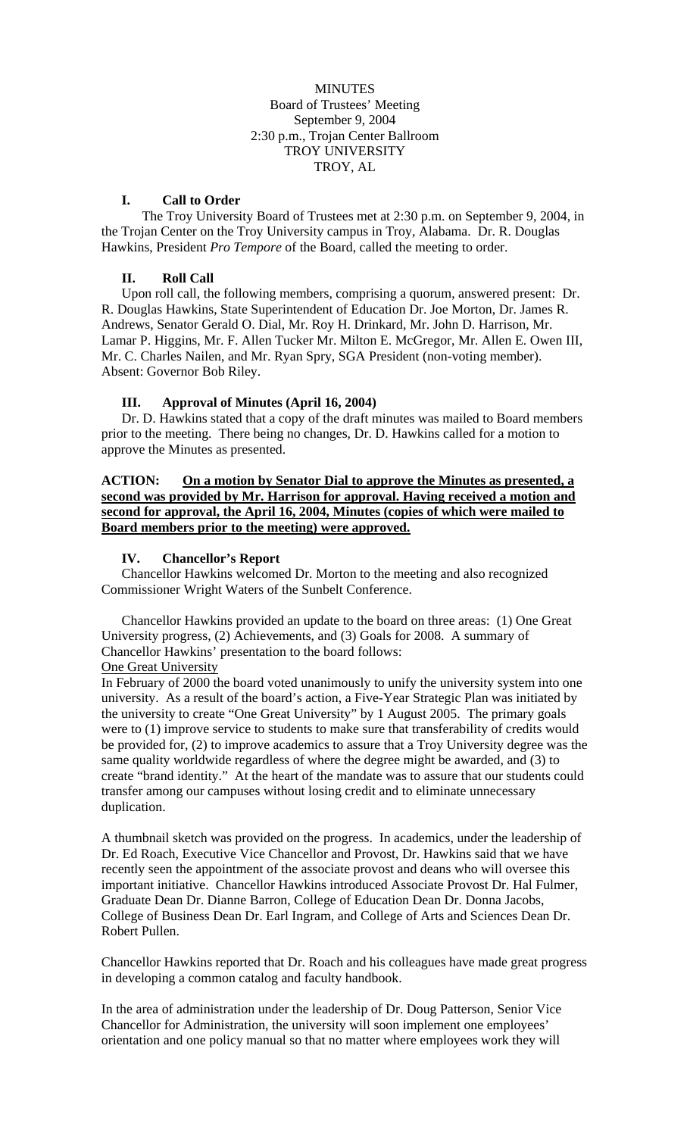MINUTES Board of Trustees' Meeting September 9, 2004 2:30 p.m., Trojan Center Ballroom TROY UNIVERSITY TROY, AL

#### **I. Call to Order**

The Troy University Board of Trustees met at 2:30 p.m. on September 9, 2004, in the Trojan Center on the Troy University campus in Troy, Alabama. Dr. R. Douglas Hawkins, President *Pro Tempore* of the Board, called the meeting to order.

### **II. Roll Call**

Upon roll call, the following members, comprising a quorum, answered present: Dr. R. Douglas Hawkins, State Superintendent of Education Dr. Joe Morton, Dr. James R. Andrews, Senator Gerald O. Dial, Mr. Roy H. Drinkard, Mr. John D. Harrison, Mr. Lamar P. Higgins, Mr. F. Allen Tucker Mr. Milton E. McGregor, Mr. Allen E. Owen III, Mr. C. Charles Nailen, and Mr. Ryan Spry, SGA President (non-voting member). Absent: Governor Bob Riley.

#### **III. Approval of Minutes (April 16, 2004)**

Dr. D. Hawkins stated that a copy of the draft minutes was mailed to Board members prior to the meeting. There being no changes, Dr. D. Hawkins called for a motion to approve the Minutes as presented.

### **ACTION: On a motion by Senator Dial to approve the Minutes as presented, a second was provided by Mr. Harrison for approval. Having received a motion and second for approval, the April 16, 2004, Minutes (copies of which were mailed to Board members prior to the meeting) were approved.**

#### **IV. Chancellor's Report**

Chancellor Hawkins welcomed Dr. Morton to the meeting and also recognized Commissioner Wright Waters of the Sunbelt Conference.

Chancellor Hawkins provided an update to the board on three areas: (1) One Great University progress, (2) Achievements, and (3) Goals for 2008. A summary of Chancellor Hawkins' presentation to the board follows:

#### One Great University

In February of 2000 the board voted unanimously to unify the university system into one university. As a result of the board's action, a Five-Year Strategic Plan was initiated by the university to create "One Great University" by 1 August 2005. The primary goals were to (1) improve service to students to make sure that transferability of credits would be provided for, (2) to improve academics to assure that a Troy University degree was the same quality worldwide regardless of where the degree might be awarded, and (3) to create "brand identity." At the heart of the mandate was to assure that our students could transfer among our campuses without losing credit and to eliminate unnecessary duplication.

A thumbnail sketch was provided on the progress. In academics, under the leadership of Dr. Ed Roach, Executive Vice Chancellor and Provost, Dr. Hawkins said that we have recently seen the appointment of the associate provost and deans who will oversee this important initiative. Chancellor Hawkins introduced Associate Provost Dr. Hal Fulmer, Graduate Dean Dr. Dianne Barron, College of Education Dean Dr. Donna Jacobs, College of Business Dean Dr. Earl Ingram, and College of Arts and Sciences Dean Dr. Robert Pullen.

Chancellor Hawkins reported that Dr. Roach and his colleagues have made great progress in developing a common catalog and faculty handbook.

In the area of administration under the leadership of Dr. Doug Patterson, Senior Vice Chancellor for Administration, the university will soon implement one employees' orientation and one policy manual so that no matter where employees work they will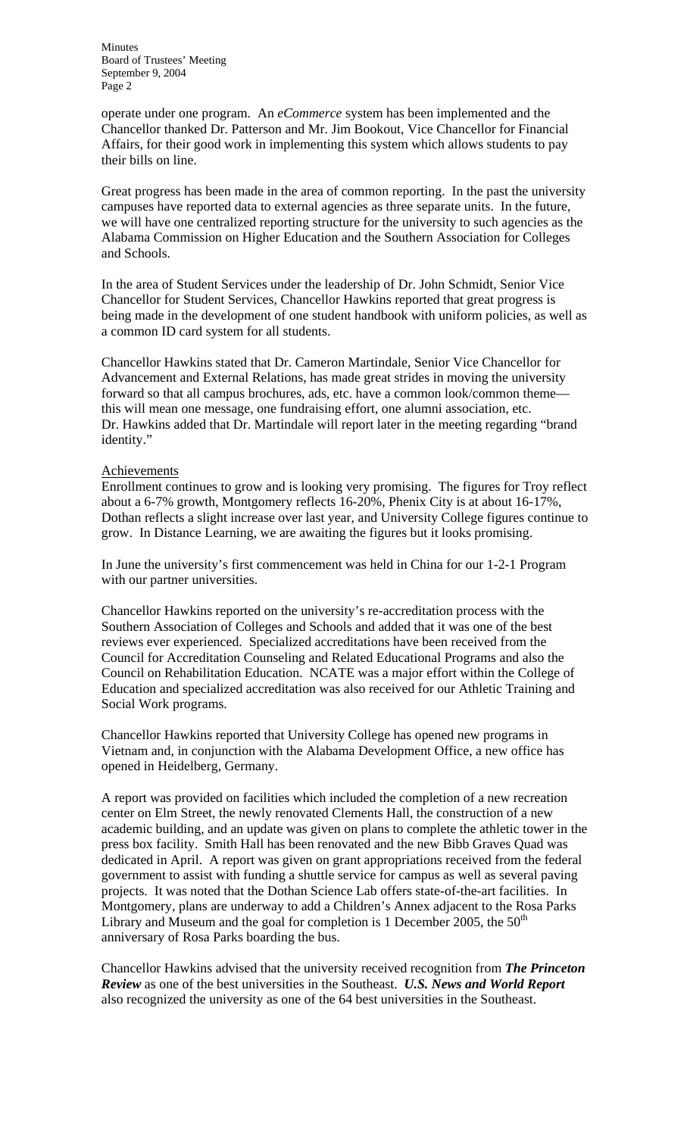operate under one program. An *eCommerce* system has been implemented and the Chancellor thanked Dr. Patterson and Mr. Jim Bookout, Vice Chancellor for Financial Affairs, for their good work in implementing this system which allows students to pay their bills on line.

Great progress has been made in the area of common reporting. In the past the university campuses have reported data to external agencies as three separate units. In the future, we will have one centralized reporting structure for the university to such agencies as the Alabama Commission on Higher Education and the Southern Association for Colleges and Schools.

In the area of Student Services under the leadership of Dr. John Schmidt, Senior Vice Chancellor for Student Services, Chancellor Hawkins reported that great progress is being made in the development of one student handbook with uniform policies, as well as a common ID card system for all students.

Chancellor Hawkins stated that Dr. Cameron Martindale, Senior Vice Chancellor for Advancement and External Relations, has made great strides in moving the university forward so that all campus brochures, ads, etc. have a common look/common theme this will mean one message, one fundraising effort, one alumni association, etc. Dr. Hawkins added that Dr. Martindale will report later in the meeting regarding "brand identity."

#### Achievements

Enrollment continues to grow and is looking very promising. The figures for Troy reflect about a 6-7% growth, Montgomery reflects 16-20%, Phenix City is at about 16-17%, Dothan reflects a slight increase over last year, and University College figures continue to grow. In Distance Learning, we are awaiting the figures but it looks promising.

In June the university's first commencement was held in China for our 1-2-1 Program with our partner universities.

Chancellor Hawkins reported on the university's re-accreditation process with the Southern Association of Colleges and Schools and added that it was one of the best reviews ever experienced. Specialized accreditations have been received from the Council for Accreditation Counseling and Related Educational Programs and also the Council on Rehabilitation Education. NCATE was a major effort within the College of Education and specialized accreditation was also received for our Athletic Training and Social Work programs.

Chancellor Hawkins reported that University College has opened new programs in Vietnam and, in conjunction with the Alabama Development Office, a new office has opened in Heidelberg, Germany.

A report was provided on facilities which included the completion of a new recreation center on Elm Street, the newly renovated Clements Hall, the construction of a new academic building, and an update was given on plans to complete the athletic tower in the press box facility. Smith Hall has been renovated and the new Bibb Graves Quad was dedicated in April. A report was given on grant appropriations received from the federal government to assist with funding a shuttle service for campus as well as several paving projects. It was noted that the Dothan Science Lab offers state-of-the-art facilities. In Montgomery, plans are underway to add a Children's Annex adjacent to the Rosa Parks Library and Museum and the goal for completion is 1 December 2005, the  $50<sup>th</sup>$ anniversary of Rosa Parks boarding the bus.

Chancellor Hawkins advised that the university received recognition from *The Princeton Review* as one of the best universities in the Southeast. *U.S. News and World Report* also recognized the university as one of the 64 best universities in the Southeast.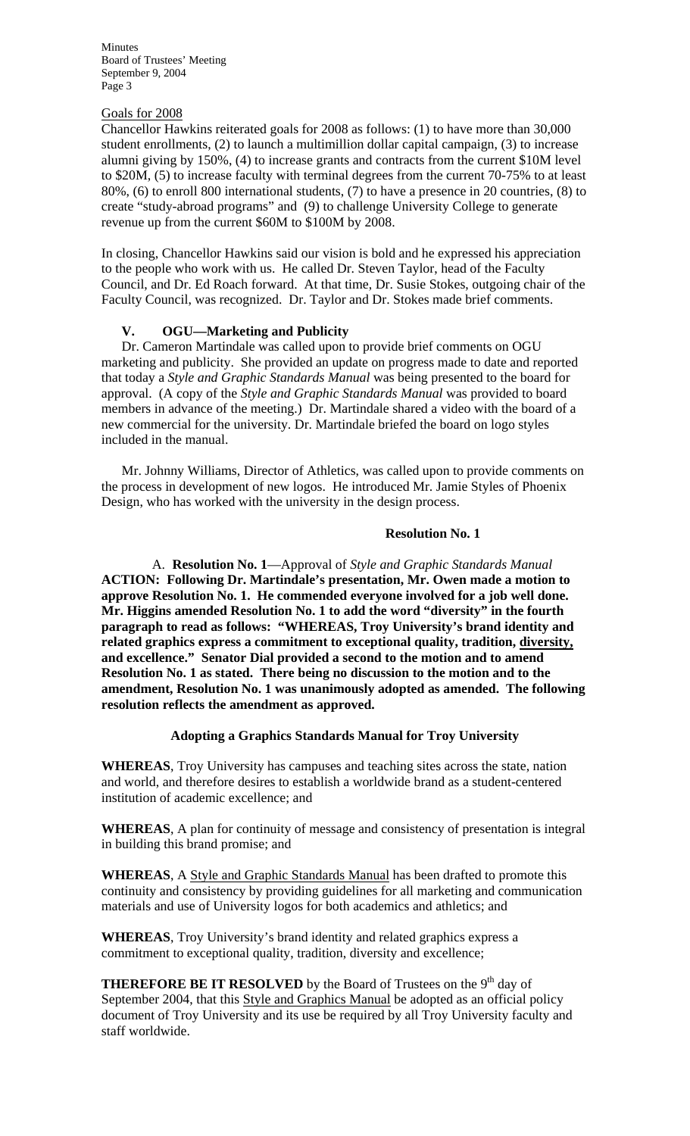#### Goals for 2008

Chancellor Hawkins reiterated goals for 2008 as follows: (1) to have more than 30,000 student enrollments, (2) to launch a multimillion dollar capital campaign, (3) to increase alumni giving by 150%, (4) to increase grants and contracts from the current \$10M level to \$20M, (5) to increase faculty with terminal degrees from the current 70-75% to at least 80%, (6) to enroll 800 international students, (7) to have a presence in 20 countries, (8) to create "study-abroad programs" and (9) to challenge University College to generate revenue up from the current \$60M to \$100M by 2008.

In closing, Chancellor Hawkins said our vision is bold and he expressed his appreciation to the people who work with us. He called Dr. Steven Taylor, head of the Faculty Council, and Dr. Ed Roach forward. At that time, Dr. Susie Stokes, outgoing chair of the Faculty Council, was recognized. Dr. Taylor and Dr. Stokes made brief comments.

# **V. OGU—Marketing and Publicity**

Dr. Cameron Martindale was called upon to provide brief comments on OGU marketing and publicity. She provided an update on progress made to date and reported that today a *Style and Graphic Standards Manual* was being presented to the board for approval. (A copy of the *Style and Graphic Standards Manual* was provided to board members in advance of the meeting.) Dr. Martindale shared a video with the board of a new commercial for the university. Dr. Martindale briefed the board on logo styles included in the manual.

Mr. Johnny Williams, Director of Athletics, was called upon to provide comments on the process in development of new logos. He introduced Mr. Jamie Styles of Phoenix Design, who has worked with the university in the design process.

## **Resolution No. 1**

A. **Resolution No. 1**—Approval of *Style and Graphic Standards Manual*  **ACTION: Following Dr. Martindale's presentation, Mr. Owen made a motion to approve Resolution No. 1. He commended everyone involved for a job well done. Mr. Higgins amended Resolution No. 1 to add the word "diversity" in the fourth paragraph to read as follows: "WHEREAS, Troy University's brand identity and related graphics express a commitment to exceptional quality, tradition, diversity, and excellence." Senator Dial provided a second to the motion and to amend Resolution No. 1 as stated. There being no discussion to the motion and to the amendment, Resolution No. 1 was unanimously adopted as amended. The following resolution reflects the amendment as approved.**

## **Adopting a Graphics Standards Manual for Troy University**

**WHEREAS**, Troy University has campuses and teaching sites across the state, nation and world, and therefore desires to establish a worldwide brand as a student-centered institution of academic excellence; and

**WHEREAS**, A plan for continuity of message and consistency of presentation is integral in building this brand promise; and

**WHEREAS**, A Style and Graphic Standards Manual has been drafted to promote this continuity and consistency by providing guidelines for all marketing and communication materials and use of University logos for both academics and athletics; and

**WHEREAS**, Troy University's brand identity and related graphics express a commitment to exceptional quality, tradition, diversity and excellence;

**THEREFORE BE IT RESOLVED** by the Board of Trustees on the 9<sup>th</sup> day of September 2004, that this Style and Graphics Manual be adopted as an official policy document of Troy University and its use be required by all Troy University faculty and staff worldwide.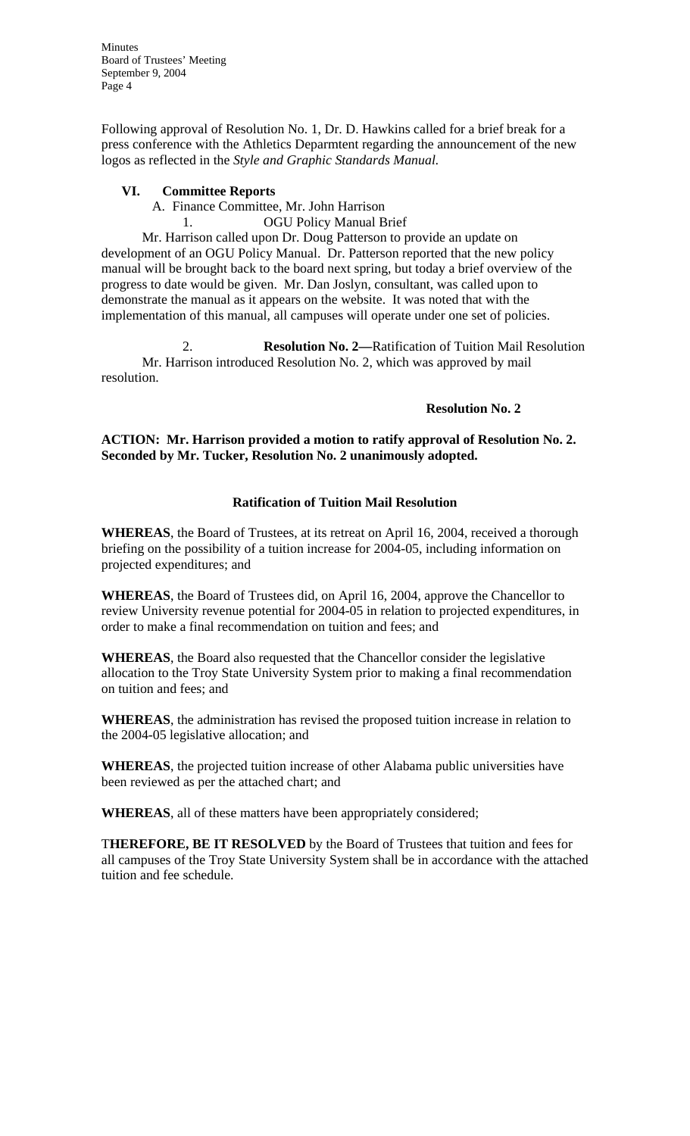Following approval of Resolution No. 1, Dr. D. Hawkins called for a brief break for a press conference with the Athletics Deparmtent regarding the announcement of the new logos as reflected in the *Style and Graphic Standards Manual.*

### **VI. Committee Reports**

A. Finance Committee, Mr. John Harrison

1. OGU Policy Manual Brief

Mr. Harrison called upon Dr. Doug Patterson to provide an update on development of an OGU Policy Manual. Dr. Patterson reported that the new policy manual will be brought back to the board next spring, but today a brief overview of the progress to date would be given. Mr. Dan Joslyn, consultant, was called upon to demonstrate the manual as it appears on the website. It was noted that with the implementation of this manual, all campuses will operate under one set of policies.

2. **Resolution No. 2—**Ratification of Tuition Mail Resolution Mr. Harrison introduced Resolution No. 2, which was approved by mail resolution.

#### **Resolution No. 2**

## **ACTION: Mr. Harrison provided a motion to ratify approval of Resolution No. 2. Seconded by Mr. Tucker, Resolution No. 2 unanimously adopted.**

## **Ratification of Tuition Mail Resolution**

**WHEREAS**, the Board of Trustees, at its retreat on April 16, 2004, received a thorough briefing on the possibility of a tuition increase for 2004-05, including information on projected expenditures; and

**WHEREAS**, the Board of Trustees did, on April 16, 2004, approve the Chancellor to review University revenue potential for 2004-05 in relation to projected expenditures, in order to make a final recommendation on tuition and fees; and

**WHEREAS**, the Board also requested that the Chancellor consider the legislative allocation to the Troy State University System prior to making a final recommendation on tuition and fees; and

**WHEREAS**, the administration has revised the proposed tuition increase in relation to the 2004-05 legislative allocation; and

**WHEREAS**, the projected tuition increase of other Alabama public universities have been reviewed as per the attached chart; and

**WHEREAS**, all of these matters have been appropriately considered;

T**HEREFORE, BE IT RESOLVED** by the Board of Trustees that tuition and fees for all campuses of the Troy State University System shall be in accordance with the attached tuition and fee schedule.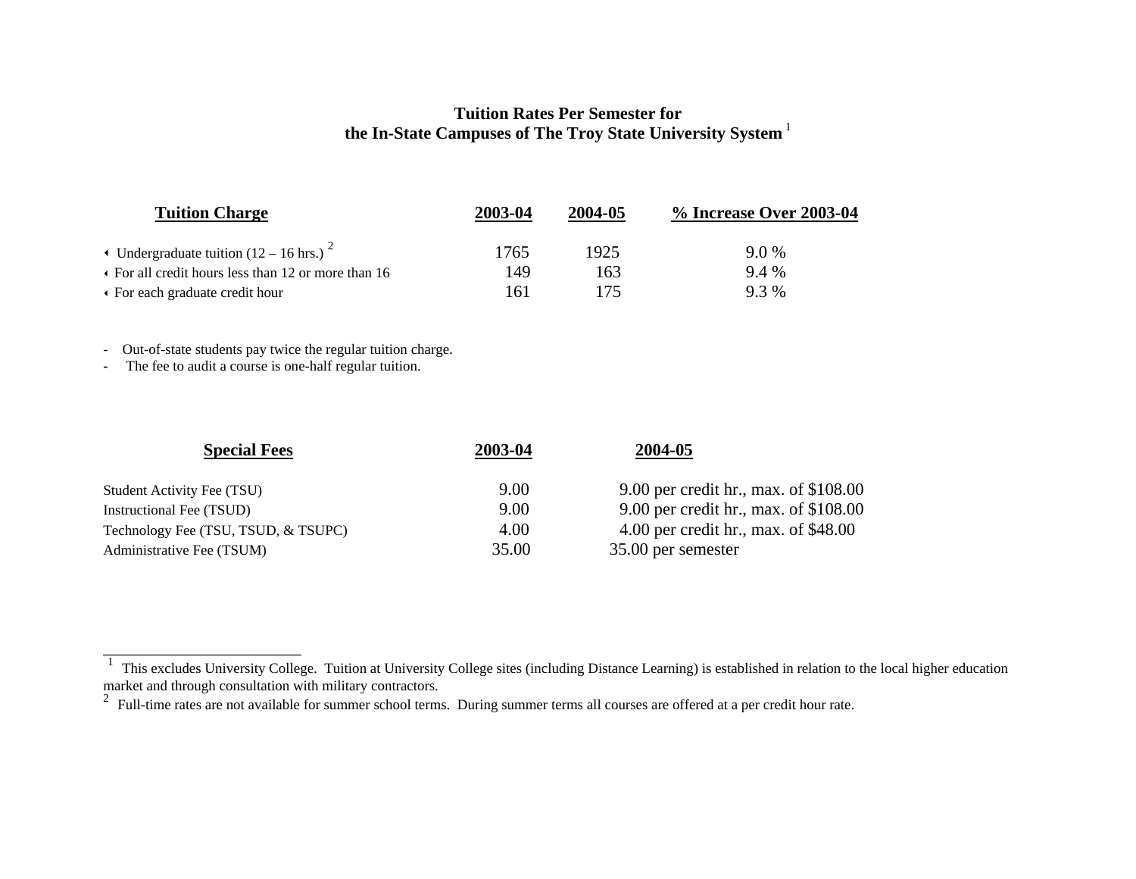### **Tuition Rates Per Semester for the In-State Campuses of The Troy State University System**<sup>1</sup>

| <b>Tuition Charge</b>                                 | 2003-04 | 2004-05 | % Increase Over 2003-04 |
|-------------------------------------------------------|---------|---------|-------------------------|
| • Undergraduate tuition $(12 – 16$ hrs.) <sup>2</sup> | 1765    | 1925    | 9.0 %                   |
| • For all credit hours less than 12 or more than 16   | 149     | 163     | 9.4%                    |
| • For each graduate credit hour                       | 161     | 175     | 9.3 %                   |

- Out-of-state students pay twice the regular tuition charge.

**-** The fee to audit a course is one-half regular tuition.

 $\overline{\phantom{a}}$  , and the contribution of the contribution of the contribution of the contribution of the contribution of the contribution of the contribution of the contribution of the contribution of the contribution of the

| <b>Special Fees</b>                 | 2003-04 | 2004-05                                |
|-------------------------------------|---------|----------------------------------------|
| <b>Student Activity Fee (TSU)</b>   | 9.00    | 9.00 per credit hr., max. of $$108.00$ |
| <b>Instructional Fee (TSUD)</b>     | 9.00    | 9.00 per credit hr., max. of $$108.00$ |
| Technology Fee (TSU, TSUD, & TSUPC) | 4.00    | 4.00 per credit hr., max. of $$48.00$  |
| Administrative Fee (TSUM)           | 35.00   | 35.00 per semester                     |
|                                     |         |                                        |

<sup>1</sup>This excludes University College. Tuition at University College sites (including Distance Learning) is established in relation to the local higher education

market and through consultation with military contractors.<br><sup>2</sup> Full-time rates are not available for summer school terms. During summer terms all courses are offered at a per credit hour rate.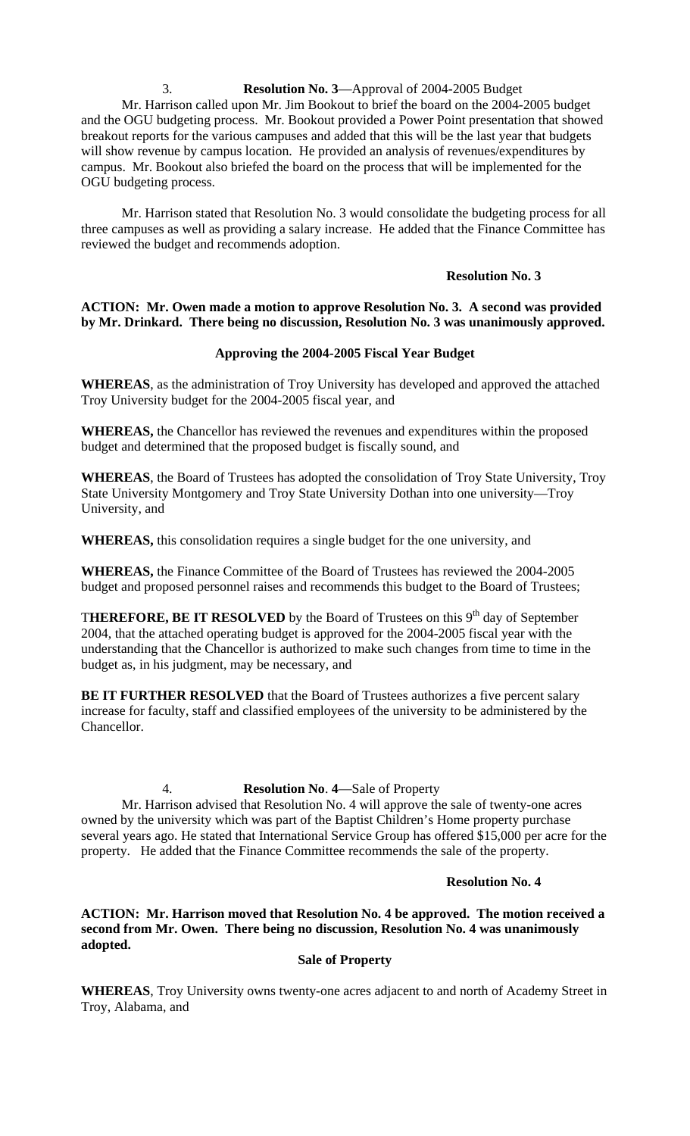3. **Resolution No. 3**—Approval of 2004-2005 Budget Mr. Harrison called upon Mr. Jim Bookout to brief the board on the 2004-2005 budget and the OGU budgeting process. Mr. Bookout provided a Power Point presentation that showed breakout reports for the various campuses and added that this will be the last year that budgets will show revenue by campus location. He provided an analysis of revenues/expenditures by campus. Mr. Bookout also briefed the board on the process that will be implemented for the OGU budgeting process.

 Mr. Harrison stated that Resolution No. 3 would consolidate the budgeting process for all three campuses as well as providing a salary increase. He added that the Finance Committee has reviewed the budget and recommends adoption.

### **Resolution No. 3**

## **ACTION: Mr. Owen made a motion to approve Resolution No. 3. A second was provided by Mr. Drinkard. There being no discussion, Resolution No. 3 was unanimously approved.**

### **Approving the 2004-2005 Fiscal Year Budget**

**WHEREAS**, as the administration of Troy University has developed and approved the attached Troy University budget for the 2004-2005 fiscal year, and

**WHEREAS,** the Chancellor has reviewed the revenues and expenditures within the proposed budget and determined that the proposed budget is fiscally sound, and

**WHEREAS**, the Board of Trustees has adopted the consolidation of Troy State University, Troy State University Montgomery and Troy State University Dothan into one university—Troy University, and

**WHEREAS,** this consolidation requires a single budget for the one university, and

**WHEREAS,** the Finance Committee of the Board of Trustees has reviewed the 2004-2005 budget and proposed personnel raises and recommends this budget to the Board of Trustees;

**THEREFORE, BE IT RESOLVED** by the Board of Trustees on this  $9<sup>th</sup>$  day of September 2004, that the attached operating budget is approved for the 2004-2005 fiscal year with the understanding that the Chancellor is authorized to make such changes from time to time in the budget as, in his judgment, may be necessary, and

**BE IT FURTHER RESOLVED** that the Board of Trustees authorizes a five percent salary increase for faculty, staff and classified employees of the university to be administered by the Chancellor.

### 4. **Resolution No**. **4**—Sale of Property

Mr. Harrison advised that Resolution No. 4 will approve the sale of twenty-one acres owned by the university which was part of the Baptist Children's Home property purchase several years ago. He stated that International Service Group has offered \$15,000 per acre for the property. He added that the Finance Committee recommends the sale of the property.

#### **Resolution No. 4**

**ACTION: Mr. Harrison moved that Resolution No. 4 be approved. The motion received a second from Mr. Owen. There being no discussion, Resolution No. 4 was unanimously adopted.** 

### **Sale of Property**

**WHEREAS**, Troy University owns twenty-one acres adjacent to and north of Academy Street in Troy, Alabama, and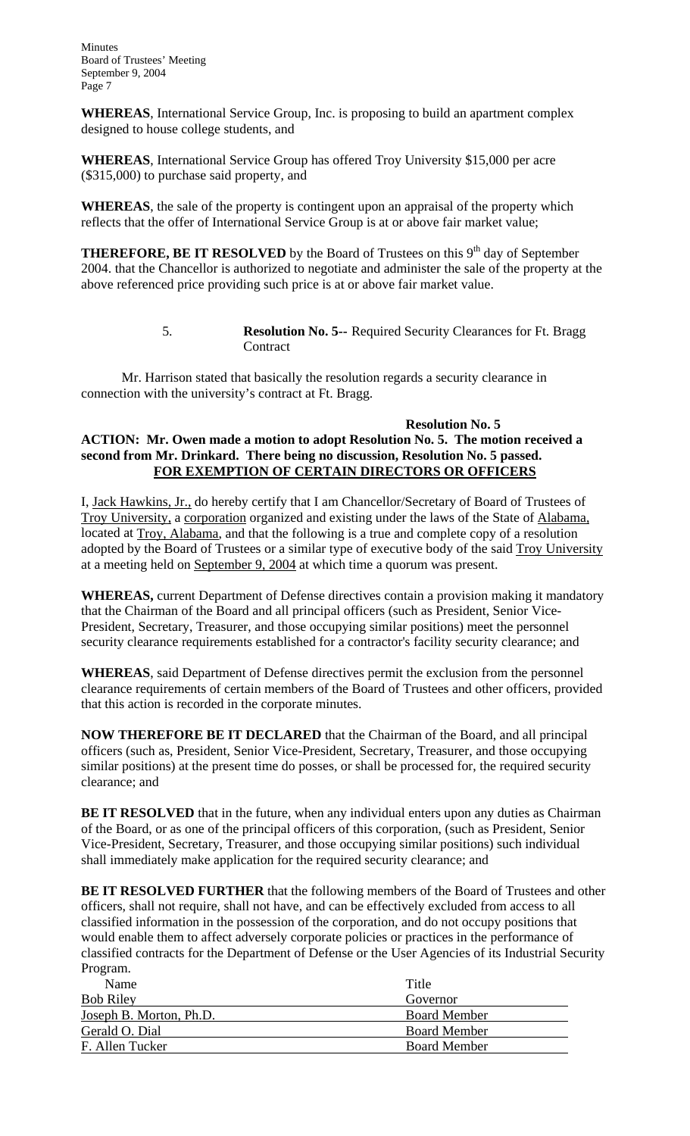**WHEREAS**, International Service Group, Inc. is proposing to build an apartment complex designed to house college students, and

**WHEREAS**, International Service Group has offered Troy University \$15,000 per acre (\$315,000) to purchase said property, and

**WHEREAS**, the sale of the property is contingent upon an appraisal of the property which reflects that the offer of International Service Group is at or above fair market value;

**THEREFORE, BE IT RESOLVED** by the Board of Trustees on this  $9<sup>th</sup>$  day of September 2004. that the Chancellor is authorized to negotiate and administer the sale of the property at the above referenced price providing such price is at or above fair market value.

> 5. **Resolution No. 5--** Required Security Clearances for Ft. Bragg **Contract**

Mr. Harrison stated that basically the resolution regards a security clearance in connection with the university's contract at Ft. Bragg.

### **Resolution No. 5 ACTION: Mr. Owen made a motion to adopt Resolution No. 5. The motion received a second from Mr. Drinkard. There being no discussion, Resolution No. 5 passed. FOR EXEMPTION OF CERTAIN DIRECTORS OR OFFICERS**

I, Jack Hawkins, Jr., do hereby certify that I am Chancellor/Secretary of Board of Trustees of Troy University, a corporation organized and existing under the laws of the State of Alabama, located at Troy, Alabama, and that the following is a true and complete copy of a resolution adopted by the Board of Trustees or a similar type of executive body of the said Troy University at a meeting held on September 9, 2004 at which time a quorum was present.

**WHEREAS,** current Department of Defense directives contain a provision making it mandatory that the Chairman of the Board and all principal officers (such as President, Senior Vice-President, Secretary, Treasurer, and those occupying similar positions) meet the personnel security clearance requirements established for a contractor's facility security clearance; and

**WHEREAS**, said Department of Defense directives permit the exclusion from the personnel clearance requirements of certain members of the Board of Trustees and other officers, provided that this action is recorded in the corporate minutes.

**NOW THEREFORE BE IT DECLARED** that the Chairman of the Board, and all principal officers (such as, President, Senior Vice-President, Secretary, Treasurer, and those occupying similar positions) at the present time do posses, or shall be processed for, the required security clearance; and

**BE IT RESOLVED** that in the future, when any individual enters upon any duties as Chairman of the Board, or as one of the principal officers of this corporation, (such as President, Senior Vice-President, Secretary, Treasurer, and those occupying similar positions) such individual shall immediately make application for the required security clearance; and

**BE IT RESOLVED FURTHER** that the following members of the Board of Trustees and other officers, shall not require, shall not have, and can be effectively excluded from access to all classified information in the possession of the corporation, and do not occupy positions that would enable them to affect adversely corporate policies or practices in the performance of classified contracts for the Department of Defense or the User Agencies of its Industrial Security Program.

| Name                    | Title               |
|-------------------------|---------------------|
| <b>Bob Riley</b>        | Governor            |
| Joseph B. Morton, Ph.D. | <b>Board Member</b> |
| Gerald O. Dial          | <b>Board Member</b> |
| F. Allen Tucker         | <b>Board Member</b> |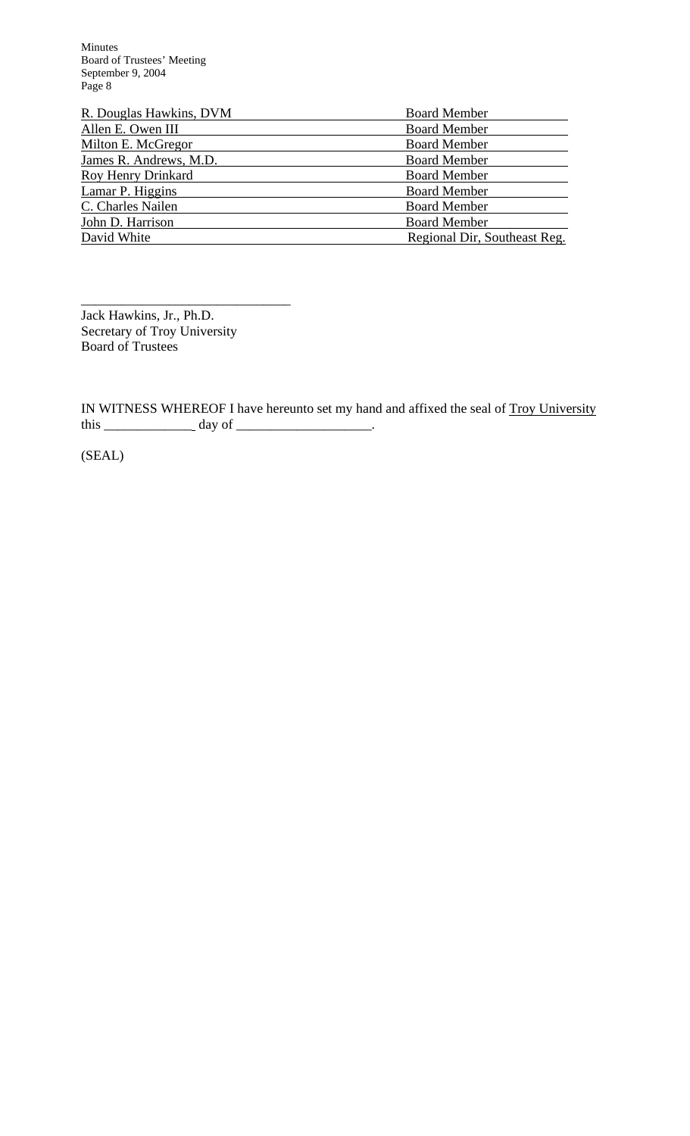| R. Douglas Hawkins, DVM   | <b>Board Member</b>          |  |
|---------------------------|------------------------------|--|
| Allen E. Owen III         | <b>Board Member</b>          |  |
| Milton E. McGregor        | <b>Board Member</b>          |  |
| James R. Andrews, M.D.    | <b>Board Member</b>          |  |
| <b>Roy Henry Drinkard</b> | <b>Board Member</b>          |  |
| Lamar P. Higgins          | <b>Board Member</b>          |  |
| C. Charles Nailen         | <b>Board Member</b>          |  |
| John D. Harrison          | <b>Board Member</b>          |  |
| David White               | Regional Dir, Southeast Reg. |  |

\_\_\_\_\_\_\_\_\_\_\_\_\_\_\_\_\_\_\_\_\_\_\_\_\_\_\_\_\_\_\_ Jack Hawkins, Jr., Ph.D. Secretary of Troy University Board of Trustees

IN WITNESS WHEREOF I have hereunto set my hand and affixed the seal of Troy University this \_\_\_\_\_\_\_\_\_\_\_\_\_ day of \_\_\_\_\_\_\_\_\_\_\_\_\_\_\_\_\_\_\_\_.

(SEAL)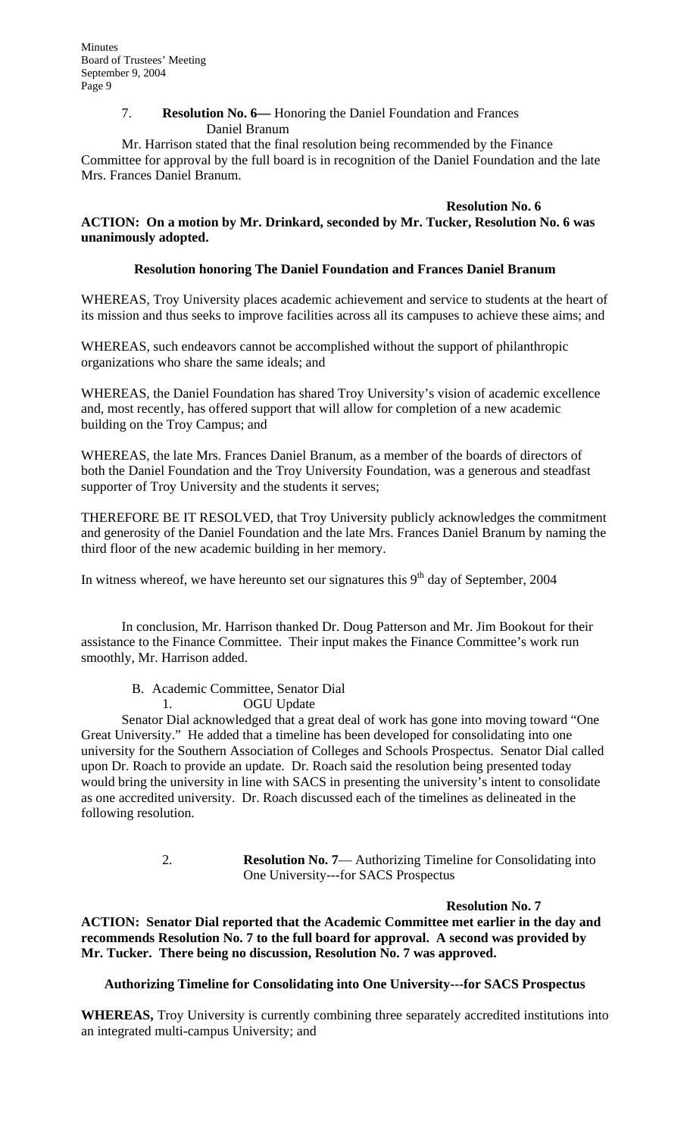## 7. **Resolution No. 6—** Honoring the Daniel Foundation and Frances Daniel Branum

 Mr. Harrison stated that the final resolution being recommended by the Finance Committee for approval by the full board is in recognition of the Daniel Foundation and the late Mrs. Frances Daniel Branum.

### **Resolution No. 6**

**ACTION: On a motion by Mr. Drinkard, seconded by Mr. Tucker, Resolution No. 6 was unanimously adopted.** 

## **Resolution honoring The Daniel Foundation and Frances Daniel Branum**

WHEREAS, Troy University places academic achievement and service to students at the heart of its mission and thus seeks to improve facilities across all its campuses to achieve these aims; and

WHEREAS, such endeavors cannot be accomplished without the support of philanthropic organizations who share the same ideals; and

WHEREAS, the Daniel Foundation has shared Troy University's vision of academic excellence and, most recently, has offered support that will allow for completion of a new academic building on the Troy Campus; and

WHEREAS, the late Mrs. Frances Daniel Branum, as a member of the boards of directors of both the Daniel Foundation and the Troy University Foundation, was a generous and steadfast supporter of Troy University and the students it serves;

THEREFORE BE IT RESOLVED, that Troy University publicly acknowledges the commitment and generosity of the Daniel Foundation and the late Mrs. Frances Daniel Branum by naming the third floor of the new academic building in her memory.

In witness whereof, we have hereunto set our signatures this  $9<sup>th</sup>$  day of September, 2004

 In conclusion, Mr. Harrison thanked Dr. Doug Patterson and Mr. Jim Bookout for their assistance to the Finance Committee. Their input makes the Finance Committee's work run smoothly, Mr. Harrison added.

B. Academic Committee, Senator Dial 1. OGU Update

Senator Dial acknowledged that a great deal of work has gone into moving toward "One Great University." He added that a timeline has been developed for consolidating into one university for the Southern Association of Colleges and Schools Prospectus. Senator Dial called upon Dr. Roach to provide an update. Dr. Roach said the resolution being presented today would bring the university in line with SACS in presenting the university's intent to consolidate as one accredited university. Dr. Roach discussed each of the timelines as delineated in the following resolution.

> 2. **Resolution No. 7**— Authorizing Timeline for Consolidating into One University---for SACS Prospectus

#### **Resolution No. 7**

**ACTION: Senator Dial reported that the Academic Committee met earlier in the day and recommends Resolution No. 7 to the full board for approval. A second was provided by Mr. Tucker. There being no discussion, Resolution No. 7 was approved.** 

## **Authorizing Timeline for Consolidating into One University---for SACS Prospectus**

**WHEREAS,** Troy University is currently combining three separately accredited institutions into an integrated multi-campus University; and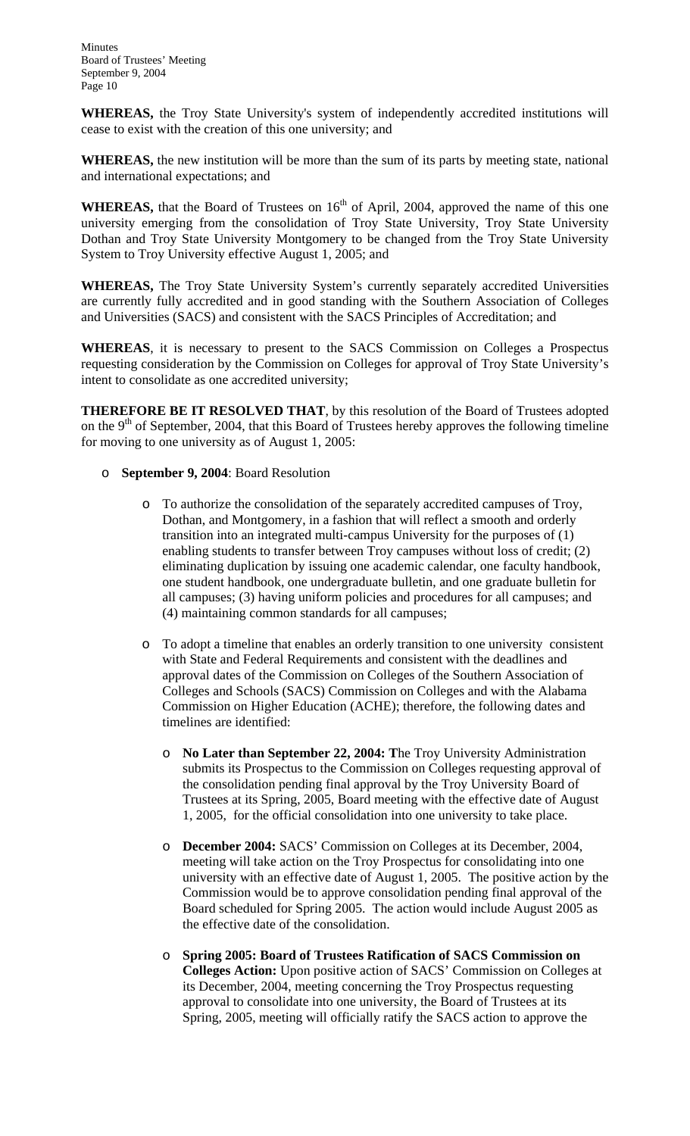**WHEREAS,** the Troy State University's system of independently accredited institutions will cease to exist with the creation of this one university; and

**WHEREAS,** the new institution will be more than the sum of its parts by meeting state, national and international expectations; and

**WHEREAS,** that the Board of Trustees on 16<sup>th</sup> of April, 2004, approved the name of this one university emerging from the consolidation of Troy State University, Troy State University Dothan and Troy State University Montgomery to be changed from the Troy State University System to Troy University effective August 1, 2005; and

**WHEREAS,** The Troy State University System's currently separately accredited Universities are currently fully accredited and in good standing with the Southern Association of Colleges and Universities (SACS) and consistent with the SACS Principles of Accreditation; and

**WHEREAS**, it is necessary to present to the SACS Commission on Colleges a Prospectus requesting consideration by the Commission on Colleges for approval of Troy State University's intent to consolidate as one accredited university;

**THEREFORE BE IT RESOLVED THAT**, by this resolution of the Board of Trustees adopted on the  $9<sup>th</sup>$  of September, 2004, that this Board of Trustees hereby approves the following timeline for moving to one university as of August 1, 2005:

- o **September 9, 2004**: Board Resolution
	- o To authorize the consolidation of the separately accredited campuses of Troy, Dothan, and Montgomery, in a fashion that will reflect a smooth and orderly transition into an integrated multi-campus University for the purposes of (1) enabling students to transfer between Troy campuses without loss of credit; (2) eliminating duplication by issuing one academic calendar, one faculty handbook, one student handbook, one undergraduate bulletin, and one graduate bulletin for all campuses; (3) having uniform policies and procedures for all campuses; and (4) maintaining common standards for all campuses;
	- o To adopt a timeline that enables an orderly transition to one university consistent with State and Federal Requirements and consistent with the deadlines and approval dates of the Commission on Colleges of the Southern Association of Colleges and Schools (SACS) Commission on Colleges and with the Alabama Commission on Higher Education (ACHE); therefore, the following dates and timelines are identified:
		- No Later than September 22, 2004: The Troy University Administration submits its Prospectus to the Commission on Colleges requesting approval of the consolidation pending final approval by the Troy University Board of Trustees at its Spring, 2005, Board meeting with the effective date of August 1, 2005, for the official consolidation into one university to take place.
		- o **December 2004:** SACS' Commission on Colleges at its December, 2004, meeting will take action on the Troy Prospectus for consolidating into one university with an effective date of August 1, 2005. The positive action by the Commission would be to approve consolidation pending final approval of the Board scheduled for Spring 2005. The action would include August 2005 as the effective date of the consolidation.
		- o **Spring 2005: Board of Trustees Ratification of SACS Commission on Colleges Action:** Upon positive action of SACS' Commission on Colleges at its December, 2004, meeting concerning the Troy Prospectus requesting approval to consolidate into one university, the Board of Trustees at its Spring, 2005, meeting will officially ratify the SACS action to approve the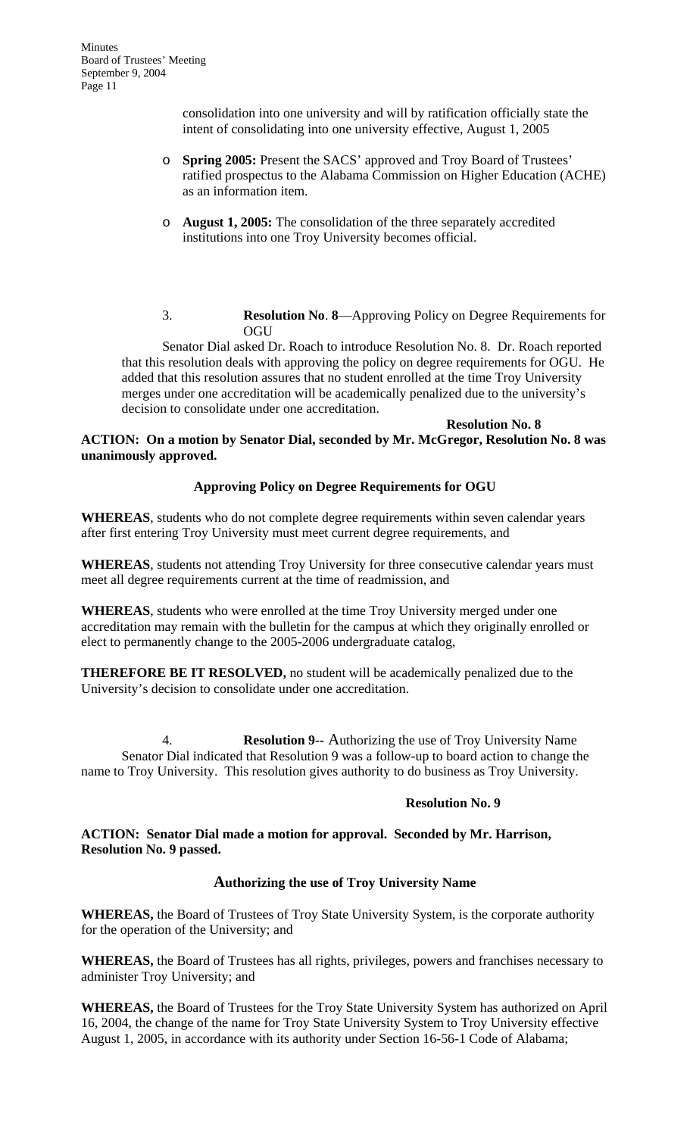> consolidation into one university and will by ratification officially state the intent of consolidating into one university effective, August 1, 2005

- o **Spring 2005:** Present the SACS' approved and Troy Board of Trustees' ratified prospectus to the Alabama Commission on Higher Education (ACHE) as an information item.
- o **August 1, 2005:** The consolidation of the three separately accredited institutions into one Troy University becomes official.
- 3. **Resolution No**. **8**—Approving Policy on Degree Requirements for **OGU**

Senator Dial asked Dr. Roach to introduce Resolution No. 8. Dr. Roach reported that this resolution deals with approving the policy on degree requirements for OGU. He added that this resolution assures that no student enrolled at the time Troy University merges under one accreditation will be academically penalized due to the university's decision to consolidate under one accreditation.

### **Resolution No. 8 ACTION: On a motion by Senator Dial, seconded by Mr. McGregor, Resolution No. 8 was unanimously approved.**

## **Approving Policy on Degree Requirements for OGU**

**WHEREAS**, students who do not complete degree requirements within seven calendar years after first entering Troy University must meet current degree requirements, and

**WHEREAS**, students not attending Troy University for three consecutive calendar years must meet all degree requirements current at the time of readmission, and

**WHEREAS**, students who were enrolled at the time Troy University merged under one accreditation may remain with the bulletin for the campus at which they originally enrolled or elect to permanently change to the 2005-2006 undergraduate catalog,

**THEREFORE BE IT RESOLVED,** no student will be academically penalized due to the University's decision to consolidate under one accreditation.

4. **Resolution 9--** Authorizing the use of Troy University Name Senator Dial indicated that Resolution 9 was a follow-up to board action to change the name to Troy University. This resolution gives authority to do business as Troy University.

## **Resolution No. 9**

## **ACTION: Senator Dial made a motion for approval. Seconded by Mr. Harrison, Resolution No. 9 passed.**

## **Authorizing the use of Troy University Name**

**WHEREAS,** the Board of Trustees of Troy State University System, is the corporate authority for the operation of the University; and

**WHEREAS,** the Board of Trustees has all rights, privileges, powers and franchises necessary to administer Troy University; and

**WHEREAS,** the Board of Trustees for the Troy State University System has authorized on April 16, 2004, the change of the name for Troy State University System to Troy University effective August 1, 2005, in accordance with its authority under Section 16-56-1 Code of Alabama;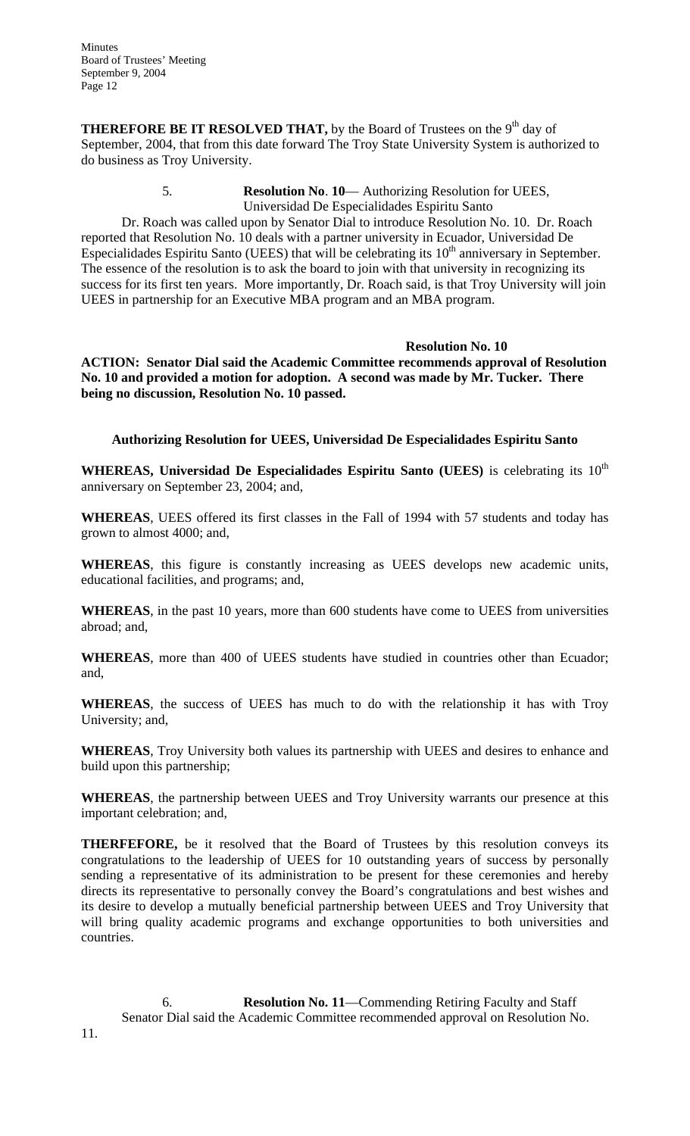**THEREFORE BE IT RESOLVED THAT,** by the Board of Trustees on the 9<sup>th</sup> day of September, 2004, that from this date forward The Troy State University System is authorized to do business as Troy University.

### 5. **Resolution No**. **10**— Authorizing Resolution for UEES, Universidad De Especialidades Espiritu Santo

Dr. Roach was called upon by Senator Dial to introduce Resolution No. 10. Dr. Roach reported that Resolution No. 10 deals with a partner university in Ecuador, Universidad De Especialidades Espiritu Santo (UEES) that will be celebrating its  $10<sup>th</sup>$  anniversary in September. The essence of the resolution is to ask the board to join with that university in recognizing its success for its first ten years. More importantly, Dr. Roach said, is that Troy University will join UEES in partnership for an Executive MBA program and an MBA program.

### **Resolution No. 10**

**ACTION: Senator Dial said the Academic Committee recommends approval of Resolution No. 10 and provided a motion for adoption. A second was made by Mr. Tucker. There being no discussion, Resolution No. 10 passed.** 

# **Authorizing Resolution for UEES, Universidad De Especialidades Espiritu Santo**

WHEREAS, Universidad De Especialidades Espiritu Santo (UEES) is celebrating its 10<sup>th</sup> anniversary on September 23, 2004; and,

**WHEREAS**, UEES offered its first classes in the Fall of 1994 with 57 students and today has grown to almost 4000; and,

**WHEREAS**, this figure is constantly increasing as UEES develops new academic units, educational facilities, and programs; and,

**WHEREAS**, in the past 10 years, more than 600 students have come to UEES from universities abroad; and,

**WHEREAS**, more than 400 of UEES students have studied in countries other than Ecuador; and,

**WHEREAS**, the success of UEES has much to do with the relationship it has with Troy University; and,

**WHEREAS**, Troy University both values its partnership with UEES and desires to enhance and build upon this partnership;

**WHEREAS**, the partnership between UEES and Troy University warrants our presence at this important celebration; and,

**THERFEFORE,** be it resolved that the Board of Trustees by this resolution conveys its congratulations to the leadership of UEES for 10 outstanding years of success by personally sending a representative of its administration to be present for these ceremonies and hereby directs its representative to personally convey the Board's congratulations and best wishes and its desire to develop a mutually beneficial partnership between UEES and Troy University that will bring quality academic programs and exchange opportunities to both universities and countries.

6. **Resolution No. 11**—Commending Retiring Faculty and Staff Senator Dial said the Academic Committee recommended approval on Resolution No.